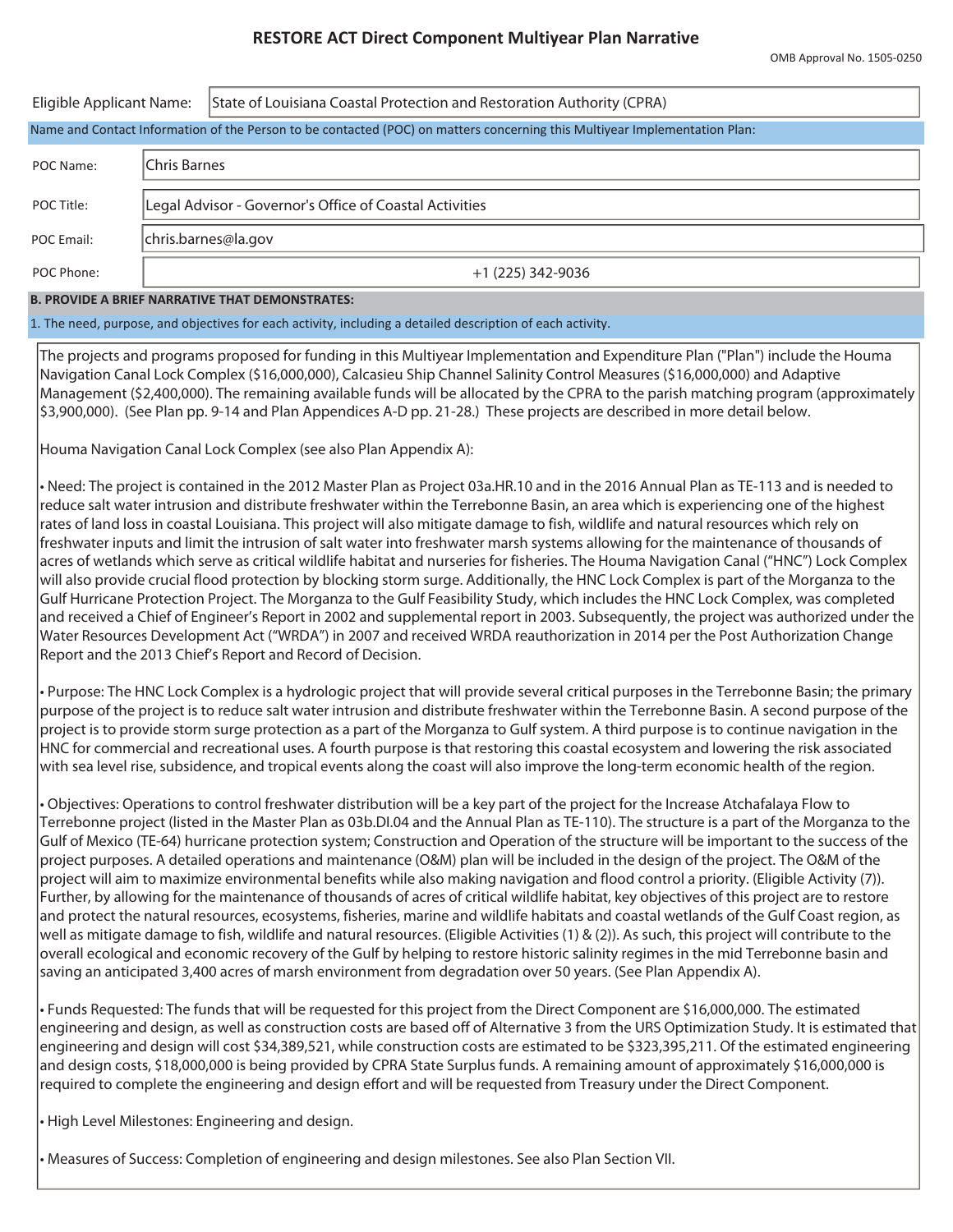## **RESTORE ACT Direct Component Multiyear Plan Narrative**

| Eligible Applicant Name:                                                                                                   |                     | State of Louisiana Coastal Protection and Restoration Authority (CPRA) |  |  |  |  |  |  |  |  |
|----------------------------------------------------------------------------------------------------------------------------|---------------------|------------------------------------------------------------------------|--|--|--|--|--|--|--|--|
| Name and Contact Information of the Person to be contacted (POC) on matters concerning this Multiyear Implementation Plan: |                     |                                                                        |  |  |  |  |  |  |  |  |
| POC Name:                                                                                                                  | Chris Barnes        |                                                                        |  |  |  |  |  |  |  |  |
| POC Title:                                                                                                                 |                     | Legal Advisor - Governor's Office of Coastal Activities                |  |  |  |  |  |  |  |  |
| POC Email:                                                                                                                 | chris.barnes@la.gov |                                                                        |  |  |  |  |  |  |  |  |
| POC Phone:                                                                                                                 |                     | $+1$ (225) 342-9036                                                    |  |  |  |  |  |  |  |  |
| <b>B. PROVIDE A BRIEF NARRATIVE THAT DEMONSTRATES:</b>                                                                     |                     |                                                                        |  |  |  |  |  |  |  |  |

1. The need, purpose, and objectives for each activity, including a detailed description of each activity.

The projects and programs proposed for funding in this Multiyear Implementation and Expenditure Plan ("Plan") include the Houma Navigation Canal Lock Complex (\$16,000,000), Calcasieu Ship Channel Salinity Control Measures (\$16,000,000) and Adaptive Management (\$2,400,000). The remaining available funds will be allocated by the CPRA to the parish matching program (approximately \$3,900,000). (See Plan pp. 9-14 and Plan Appendices A-D pp. 21-28.) These projects are described in more detail below.

Houma Navigation Canal Lock Complex (see also Plan Appendix A):

• Need: The project is contained in the 2012 Master Plan as Project 03a.HR.10 and in the 2016 Annual Plan as TE-113 and is needed to reduce salt water intrusion and distribute freshwater within the Terrebonne Basin, an area which is experiencing one of the highest rates of land loss in coastal Louisiana. This project will also mitigate damage to fish, wildlife and natural resources which rely on freshwater inputs and limit the intrusion of salt water into freshwater marsh systems allowing for the maintenance of thousands of acres of wetlands which serve as critical wildlife habitat and nurseries for fisheries. The Houma Navigation Canal ("HNC") Lock Complex will also provide crucial flood protection by blocking storm surge. Additionally, the HNC Lock Complex is part of the Morganza to the Gulf Hurricane Protection Project. The Morganza to the Gulf Feasibility Study, which includes the HNC Lock Complex, was completed and received a Chief of Engineer's Report in 2002 and supplemental report in 2003. Subsequently, the project was authorized under the Water Resources Development Act ("WRDA") in 2007 and received WRDA reauthorization in 2014 per the Post Authorization Change Report and the 2013 Chief's Report and Record of Decision.

• Purpose: The HNC Lock Complex is a hydrologic project that will provide several critical purposes in the Terrebonne Basin; the primary purpose of the project is to reduce salt water intrusion and distribute freshwater within the Terrebonne Basin. A second purpose of the project is to provide storm surge protection as a part of the Morganza to Gulf system. A third purpose is to continue navigation in the HNC for commercial and recreational uses. A fourth purpose is that restoring this coastal ecosystem and lowering the risk associated with sea level rise, subsidence, and tropical events along the coast will also improve the long-term economic health of the region.

• Objectives: Operations to control freshwater distribution will be a key part of the project for the Increase Atchafalaya Flow to Terrebonne project (listed in the Master Plan as 03b.DI.04 and the Annual Plan as TE-110). The structure is a part of the Morganza to the Gulf of Mexico (TE-64) hurricane protection system; Construction and Operation of the structure will be important to the success of the project purposes. A detailed operations and maintenance (O&M) plan will be included in the design of the project. The O&M of the project will aim to maximize environmental benefits while also making navigation and flood control a priority. (Eligible Activity (7)). Further, by allowing for the maintenance of thousands of acres of critical wildlife habitat, key objectives of this project are to restore and protect the natural resources, ecosystems, fisheries, marine and wildlife habitats and coastal wetlands of the Gulf Coast region, as well as mitigate damage to fish, wildlife and natural resources. (Eligible Activities (1) & (2)). As such, this project will contribute to the overall ecological and economic recovery of the Gulf by helping to restore historic salinity regimes in the mid Terrebonne basin and saving an anticipated 3,400 acres of marsh environment from degradation over 50 years. (See Plan Appendix A).

• Funds Requested: The funds that will be requested for this project from the Direct Component are \$16,000,000. The estimated engineering and design, as well as construction costs are based off of Alternative 3 from the URS Optimization Study. It is estimated that engineering and design will cost \$34,389,521, while construction costs are estimated to be \$323,395,211. Of the estimated engineering and design costs, \$18,000,000 is being provided by CPRA State Surplus funds. A remaining amount of approximately \$16,000,000 is required to complete the engineering and design effort and will be requested from Treasury under the Direct Component.

• High Level Milestones: Engineering and design.

• Measures of Success: Completion of engineering and design milestones. See also Plan Section VII.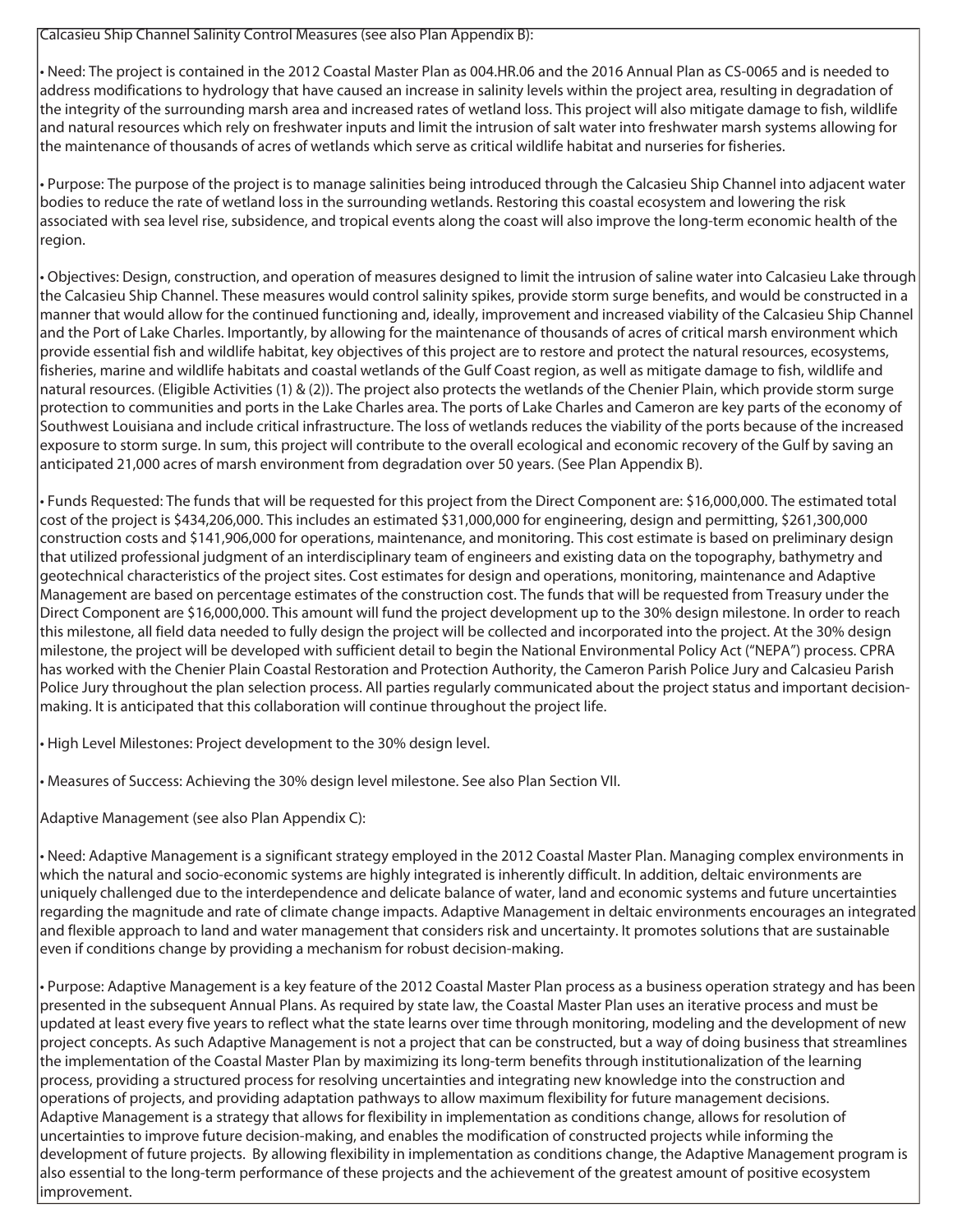Calcasieu Ship Channel Salinity Control Measures (see also Plan Appendix B):

• Need: The project is contained in the 2012 Coastal Master Plan as 004.HR.06 and the 2016 Annual Plan as CS-0065 and is needed to address modifications to hydrology that have caused an increase in salinity levels within the project area, resulting in degradation of the integrity of the surrounding marsh area and increased rates of wetland loss. This project will also mitigate damage to fish, wildlife and natural resources which rely on freshwater inputs and limit the intrusion of salt water into freshwater marsh systems allowing for the maintenance of thousands of acres of wetlands which serve as critical wildlife habitat and nurseries for fisheries.

• Purpose: The purpose of the project is to manage salinities being introduced through the Calcasieu Ship Channel into adjacent water bodies to reduce the rate of wetland loss in the surrounding wetlands. Restoring this coastal ecosystem and lowering the risk associated with sea level rise, subsidence, and tropical events along the coast will also improve the long-term economic health of the region.

• Objectives: Design, construction, and operation of measures designed to limit the intrusion of saline water into Calcasieu Lake through the Calcasieu Ship Channel. These measures would control salinity spikes, provide storm surge benefits, and would be constructed in a manner that would allow for the continued functioning and, ideally, improvement and increased viability of the Calcasieu Ship Channel and the Port of Lake Charles. Importantly, by allowing for the maintenance of thousands of acres of critical marsh environment which provide essential fish and wildlife habitat, key objectives of this project are to restore and protect the natural resources, ecosystems, fisheries, marine and wildlife habitats and coastal wetlands of the Gulf Coast region, as well as mitigate damage to fish, wildlife and natural resources. (Eligible Activities (1) & (2)). The project also protects the wetlands of the Chenier Plain, which provide storm surge protection to communities and ports in the Lake Charles area. The ports of Lake Charles and Cameron are key parts of the economy of Southwest Louisiana and include critical infrastructure. The loss of wetlands reduces the viability of the ports because of the increased exposure to storm surge. In sum, this project will contribute to the overall ecological and economic recovery of the Gulf by saving an anticipated 21,000 acres of marsh environment from degradation over 50 years. (See Plan Appendix B).

• Funds Requested: The funds that will be requested for this project from the Direct Component are: \$16,000,000. The estimated total cost of the project is \$434,206,000. This includes an estimated \$31,000,000 for engineering, design and permitting, \$261,300,000 construction costs and \$141,906,000 for operations, maintenance, and monitoring. This cost estimate is based on preliminary design that utilized professional judgment of an interdisciplinary team of engineers and existing data on the topography, bathymetry and geotechnical characteristics of the project sites. Cost estimates for design and operations, monitoring, maintenance and Adaptive Management are based on percentage estimates of the construction cost. The funds that will be requested from Treasury under the Direct Component are \$16,000,000. This amount will fund the project development up to the 30% design milestone. In order to reach this milestone, all field data needed to fully design the project will be collected and incorporated into the project. At the 30% design milestone, the project will be developed with sufficient detail to begin the National Environmental Policy Act ("NEPA") process. CPRA has worked with the Chenier Plain Coastal Restoration and Protection Authority, the Cameron Parish Police Jury and Calcasieu Parish Police Jury throughout the plan selection process. All parties regularly communicated about the project status and important decisionmaking. It is anticipated that this collaboration will continue throughout the project life.

• High Level Milestones: Project development to the 30% design level.

• Measures of Success: Achieving the 30% design level milestone. See also Plan Section VII.

Adaptive Management (see also Plan Appendix C):

• Need: Adaptive Management is a significant strategy employed in the 2012 Coastal Master Plan. Managing complex environments in which the natural and socio-economic systems are highly integrated is inherently difficult. In addition, deltaic environments are uniquely challenged due to the interdependence and delicate balance of water, land and economic systems and future uncertainties regarding the magnitude and rate of climate change impacts. Adaptive Management in deltaic environments encourages an integrated and flexible approach to land and water management that considers risk and uncertainty. It promotes solutions that are sustainable even if conditions change by providing a mechanism for robust decision-making.

• Purpose: Adaptive Management is a key feature of the 2012 Coastal Master Plan process as a business operation strategy and has been presented in the subsequent Annual Plans. As required by state law, the Coastal Master Plan uses an iterative process and must be updated at least every five years to reflect what the state learns over time through monitoring, modeling and the development of new project concepts. As such Adaptive Management is not a project that can be constructed, but a way of doing business that streamlines the implementation of the Coastal Master Plan by maximizing its long-term benefits through institutionalization of the learning process, providing a structured process for resolving uncertainties and integrating new knowledge into the construction and operations of projects, and providing adaptation pathways to allow maximum flexibility for future management decisions. Adaptive Management is a strategy that allows for flexibility in implementation as conditions change, allows for resolution of uncertainties to improve future decision-making, and enables the modification of constructed projects while informing the development of future projects. By allowing flexibility in implementation as conditions change, the Adaptive Management program is also essential to the long-term performance of these projects and the achievement of the greatest amount of positive ecosystem improvement.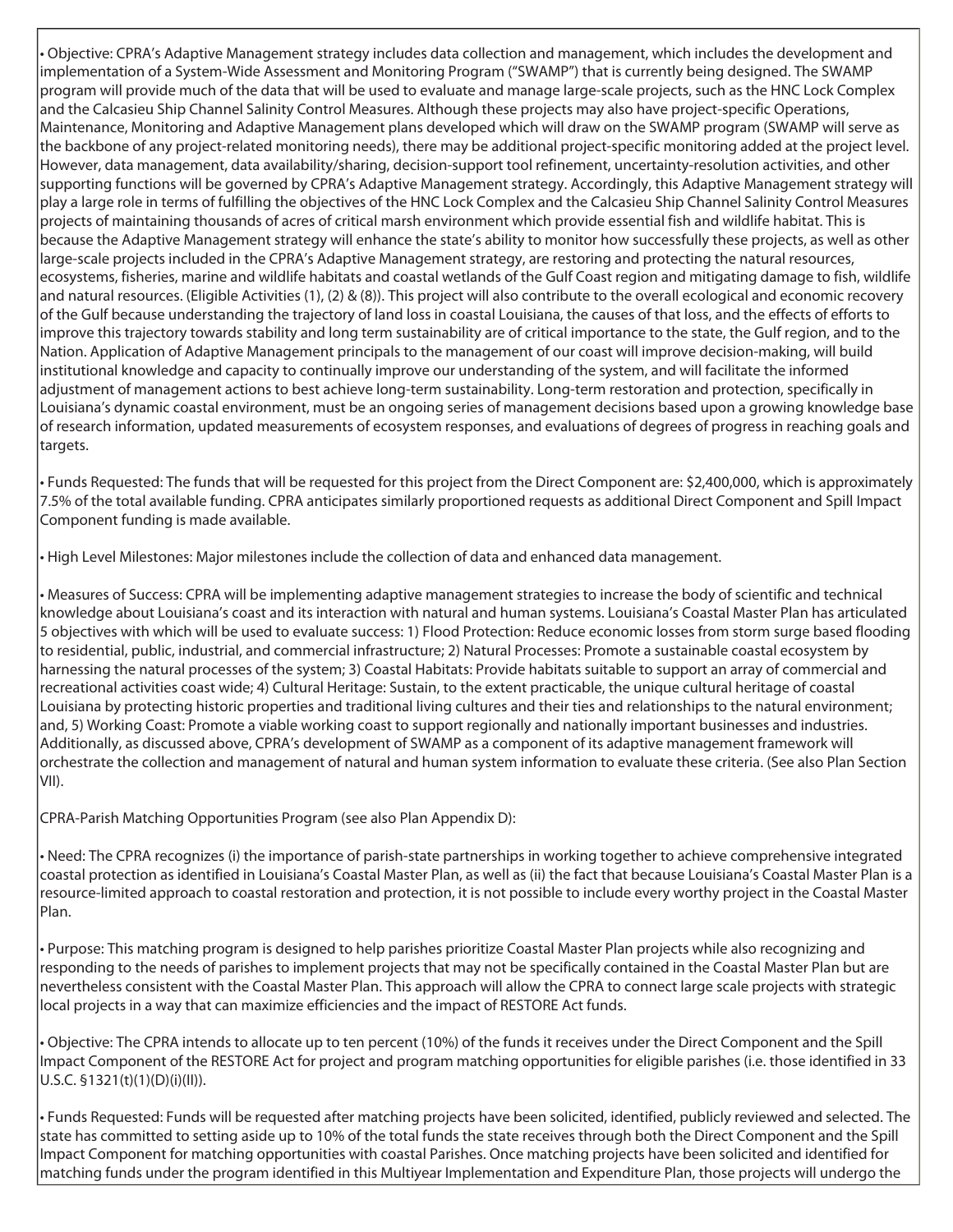• Objective: CPRA's Adaptive Management strategy includes data collection and management, which includes the development and implementation of a System-Wide Assessment and Monitoring Program ("SWAMP") that is currently being designed. The SWAMP program will provide much of the data that will be used to evaluate and manage large-scale projects, such as the HNC Lock Complex and the Calcasieu Ship Channel Salinity Control Measures. Although these projects may also have project-specific Operations, Maintenance, Monitoring and Adaptive Management plans developed which will draw on the SWAMP program (SWAMP will serve as the backbone of any project-related monitoring needs), there may be additional project-specific monitoring added at the project level. However, data management, data availability/sharing, decision-support tool refinement, uncertainty-resolution activities, and other supporting functions will be governed by CPRA's Adaptive Management strategy. Accordingly, this Adaptive Management strategy will play a large role in terms of fulfilling the objectives of the HNC Lock Complex and the Calcasieu Ship Channel Salinity Control Measures projects of maintaining thousands of acres of critical marsh environment which provide essential fish and wildlife habitat. This is because the Adaptive Management strategy will enhance the state's ability to monitor how successfully these projects, as well as other large-scale projects included in the CPRA's Adaptive Management strategy, are restoring and protecting the natural resources, ecosystems, fisheries, marine and wildlife habitats and coastal wetlands of the Gulf Coast region and mitigating damage to fish, wildlife and natural resources. (Eligible Activities (1), (2) & (8)). This project will also contribute to the overall ecological and economic recovery of the Gulf because understanding the trajectory of land loss in coastal Louisiana, the causes of that loss, and the effects of efforts to improve this trajectory towards stability and long term sustainability are of critical importance to the state, the Gulf region, and to the Nation. Application of Adaptive Management principals to the management of our coast will improve decision-making, will build institutional knowledge and capacity to continually improve our understanding of the system, and will facilitate the informed adjustment of management actions to best achieve long-term sustainability. Long-term restoration and protection, specifically in Louisiana's dynamic coastal environment, must be an ongoing series of management decisions based upon a growing knowledge base of research information, updated measurements of ecosystem responses, and evaluations of degrees of progress in reaching goals and targets.

• Funds Requested: The funds that will be requested for this project from the Direct Component are: \$2,400,000, which is approximately 7.5% of the total available funding. CPRA anticipates similarly proportioned requests as additional Direct Component and Spill Impact Component funding is made available.

• High Level Milestones: Major milestones include the collection of data and enhanced data management.

• Measures of Success: CPRA will be implementing adaptive management strategies to increase the body of scientific and technical knowledge about Louisiana's coast and its interaction with natural and human systems. Louisiana's Coastal Master Plan has articulated 5 objectives with which will be used to evaluate success: 1) Flood Protection: Reduce economic losses from storm surge based flooding to residential, public, industrial, and commercial infrastructure; 2) Natural Processes: Promote a sustainable coastal ecosystem by harnessing the natural processes of the system; 3) Coastal Habitats: Provide habitats suitable to support an array of commercial and recreational activities coast wide; 4) Cultural Heritage: Sustain, to the extent practicable, the unique cultural heritage of coastal Louisiana by protecting historic properties and traditional living cultures and their ties and relationships to the natural environment; and, 5) Working Coast: Promote a viable working coast to support regionally and nationally important businesses and industries. Additionally, as discussed above, CPRA's development of SWAMP as a component of its adaptive management framework will orchestrate the collection and management of natural and human system information to evaluate these criteria. (See also Plan Section VII).

CPRA-Parish Matching Opportunities Program (see also Plan Appendix D):

• Need: The CPRA recognizes (i) the importance of parish-state partnerships in working together to achieve comprehensive integrated coastal protection as identified in Louisiana's Coastal Master Plan, as well as (ii) the fact that because Louisiana's Coastal Master Plan is a resource-limited approach to coastal restoration and protection, it is not possible to include every worthy project in the Coastal Master Plan.

• Purpose: This matching program is designed to help parishes prioritize Coastal Master Plan projects while also recognizing and responding to the needs of parishes to implement projects that may not be specifically contained in the Coastal Master Plan but are nevertheless consistent with the Coastal Master Plan. This approach will allow the CPRA to connect large scale projects with strategic local projects in a way that can maximize efficiencies and the impact of RESTORE Act funds.

• Objective: The CPRA intends to allocate up to ten percent (10%) of the funds it receives under the Direct Component and the Spill Impact Component of the RESTORE Act for project and program matching opportunities for eligible parishes (i.e. those identified in 33 U.S.C. §1321(t)(1)(D)(i)(II)).

• Funds Requested: Funds will be requested after matching projects have been solicited, identified, publicly reviewed and selected. The state has committed to setting aside up to 10% of the total funds the state receives through both the Direct Component and the Spill Impact Component for matching opportunities with coastal Parishes. Once matching projects have been solicited and identified for matching funds under the program identified in this Multiyear Implementation and Expenditure Plan, those projects will undergo the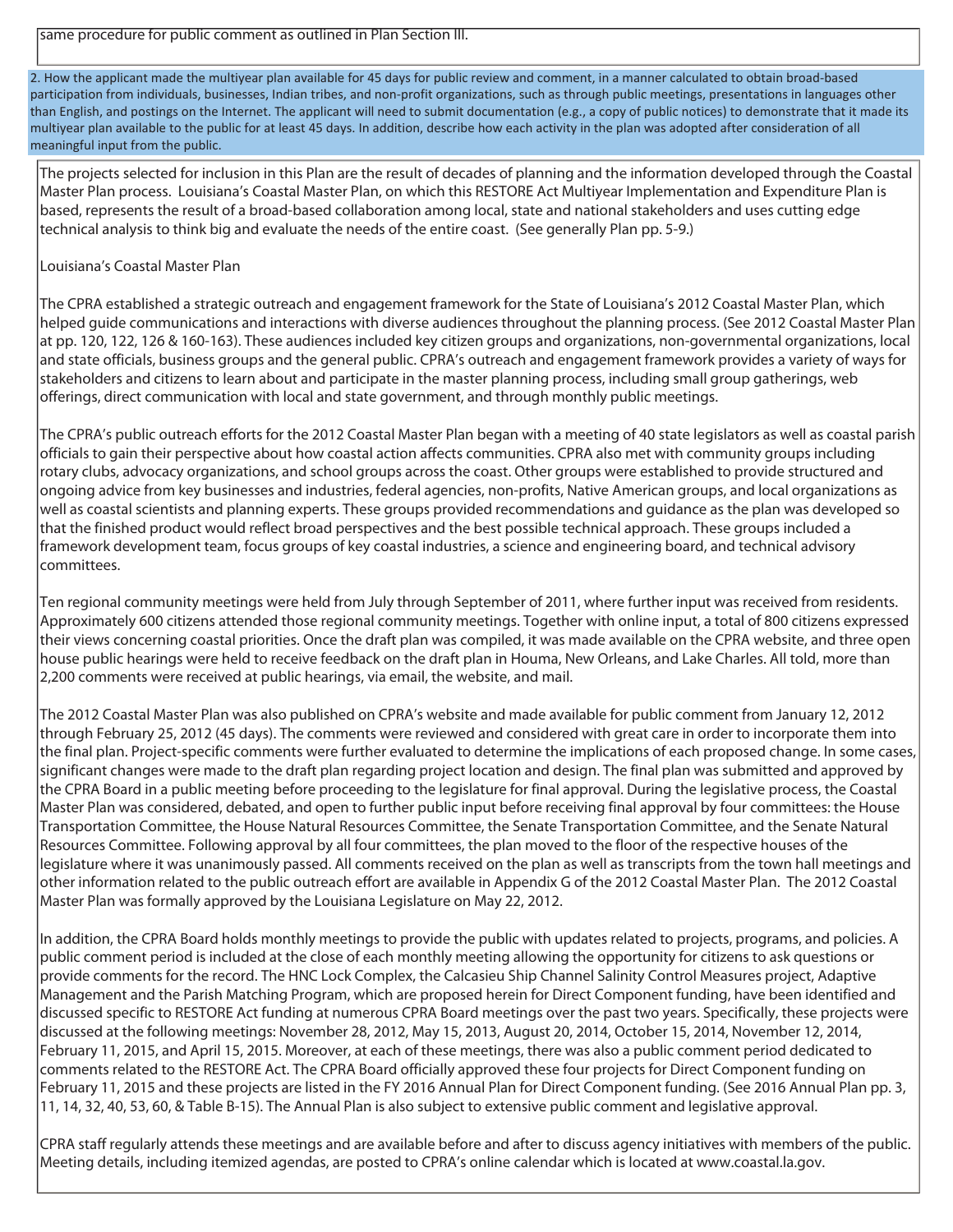2. How the applicant made the multiyear plan available for 45 days for public review and comment, in a manner calculated to obtain broad-based participation from individuals, businesses, Indian tribes, and non-profit organizations, such as through public meetings, presentations in languages other than English, and postings on the Internet. The applicant will need to submit documentation (e.g., a copy of public notices) to demonstrate that it made its multiyear plan available to the public for at least 45 days. In addition, describe how each activity in the plan was adopted after consideration of all meaningful input from the public.

The projects selected for inclusion in this Plan are the result of decades of planning and the information developed through the Coastal Master Plan process. Louisiana's Coastal Master Plan, on which this RESTORE Act Multiyear Implementation and Expenditure Plan is based, represents the result of a broad-based collaboration among local, state and national stakeholders and uses cutting edge technical analysis to think big and evaluate the needs of the entire coast. (See generally Plan pp. 5-9.)

## Louisiana's Coastal Master Plan

The CPRA established a strategic outreach and engagement framework for the State of Louisiana's 2012 Coastal Master Plan, which helped guide communications and interactions with diverse audiences throughout the planning process. (See 2012 Coastal Master Plan at pp. 120, 122, 126 & 160-163). These audiences included key citizen groups and organizations, non-governmental organizations, local and state officials, business groups and the general public. CPRA's outreach and engagement framework provides a variety of ways for stakeholders and citizens to learn about and participate in the master planning process, including small group gatherings, web offerings, direct communication with local and state government, and through monthly public meetings.

The CPRA's public outreach efforts for the 2012 Coastal Master Plan began with a meeting of 40 state legislators as well as coastal parish officials to gain their perspective about how coastal action affects communities. CPRA also met with community groups including rotary clubs, advocacy organizations, and school groups across the coast. Other groups were established to provide structured and ongoing advice from key businesses and industries, federal agencies, non-profits, Native American groups, and local organizations as well as coastal scientists and planning experts. These groups provided recommendations and guidance as the plan was developed so that the finished product would reflect broad perspectives and the best possible technical approach. These groups included a framework development team, focus groups of key coastal industries, a science and engineering board, and technical advisory committees.

Ten regional community meetings were held from July through September of 2011, where further input was received from residents. Approximately 600 citizens attended those regional community meetings. Together with online input, a total of 800 citizens expressed their views concerning coastal priorities. Once the draft plan was compiled, it was made available on the CPRA website, and three open house public hearings were held to receive feedback on the draft plan in Houma, New Orleans, and Lake Charles. All told, more than 2,200 comments were received at public hearings, via email, the website, and mail.

The 2012 Coastal Master Plan was also published on CPRA's website and made available for public comment from January 12, 2012 through February 25, 2012 (45 days). The comments were reviewed and considered with great care in order to incorporate them into the final plan. Project-specific comments were further evaluated to determine the implications of each proposed change. In some cases, significant changes were made to the draft plan regarding project location and design. The final plan was submitted and approved by the CPRA Board in a public meeting before proceeding to the legislature for final approval. During the legislative process, the Coastal Master Plan was considered, debated, and open to further public input before receiving final approval by four committees: the House Transportation Committee, the House Natural Resources Committee, the Senate Transportation Committee, and the Senate Natural Resources Committee. Following approval by all four committees, the plan moved to the floor of the respective houses of the legislature where it was unanimously passed. All comments received on the plan as well as transcripts from the town hall meetings and other information related to the public outreach effort are available in Appendix G of the 2012 Coastal Master Plan. The 2012 Coastal Master Plan was formally approved by the Louisiana Legislature on May 22, 2012.

In addition, the CPRA Board holds monthly meetings to provide the public with updates related to projects, programs, and policies. A public comment period is included at the close of each monthly meeting allowing the opportunity for citizens to ask questions or provide comments for the record. The HNC Lock Complex, the Calcasieu Ship Channel Salinity Control Measures project, Adaptive Management and the Parish Matching Program, which are proposed herein for Direct Component funding, have been identified and discussed specific to RESTORE Act funding at numerous CPRA Board meetings over the past two years. Specifically, these projects were discussed at the following meetings: November 28, 2012, May 15, 2013, August 20, 2014, October 15, 2014, November 12, 2014, February 11, 2015, and April 15, 2015. Moreover, at each of these meetings, there was also a public comment period dedicated to comments related to the RESTORE Act. The CPRA Board officially approved these four projects for Direct Component funding on February 11, 2015 and these projects are listed in the FY 2016 Annual Plan for Direct Component funding. (See 2016 Annual Plan pp. 3, 11, 14, 32, 40, 53, 60, & Table B-15). The Annual Plan is also subject to extensive public comment and legislative approval.

CPRA staff regularly attends these meetings and are available before and after to discuss agency initiatives with members of the public. Meeting details, including itemized agendas, are posted to CPRA's online calendar which is located at www.coastal.la.gov.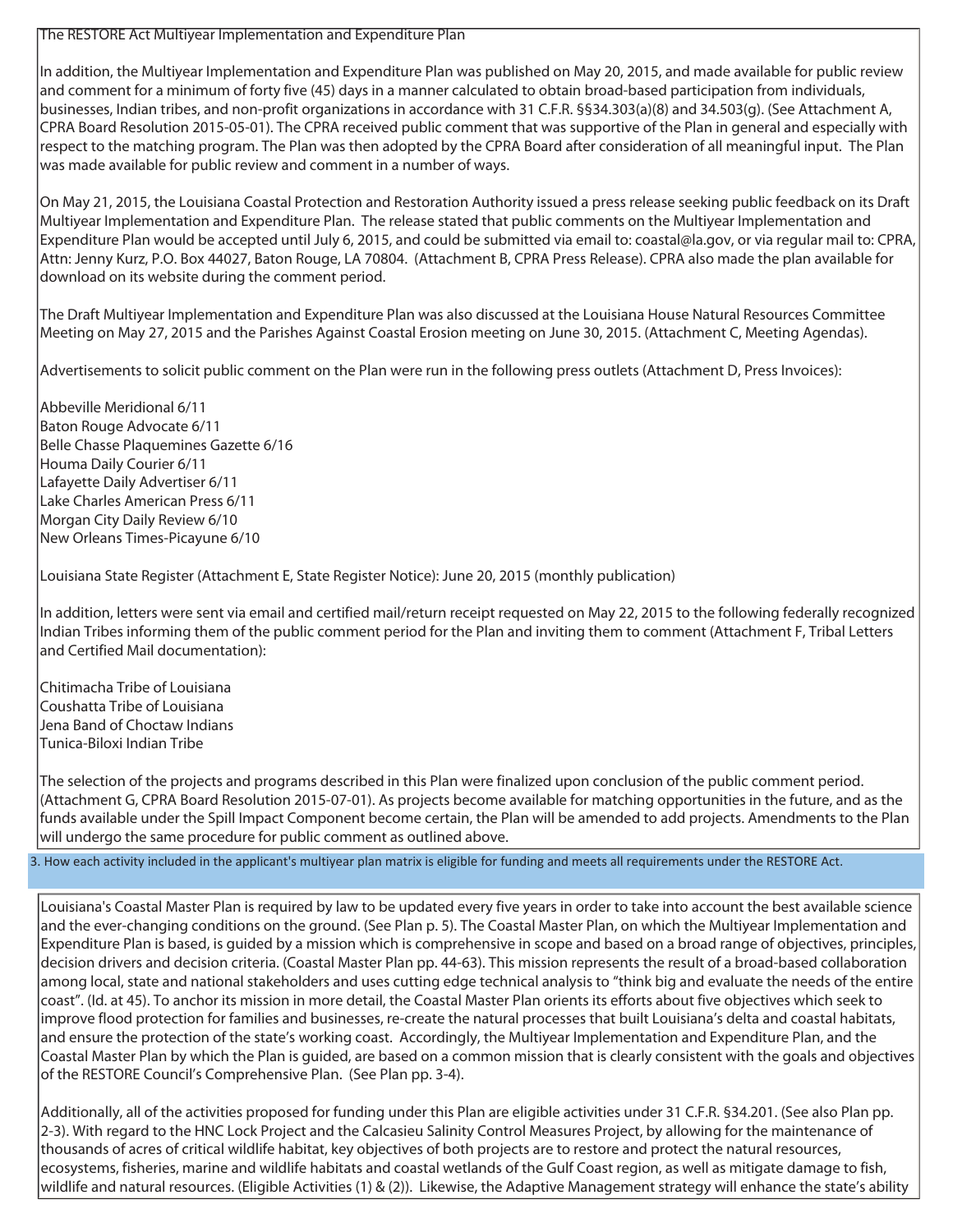## The RESTORE Act Multiyear Implementation and Expenditure Plan

In addition, the Multiyear Implementation and Expenditure Plan was published on May 20, 2015, and made available for public review and comment for a minimum of forty five (45) days in a manner calculated to obtain broad-based participation from individuals, businesses, Indian tribes, and non-profit organizations in accordance with 31 C.F.R. §§34.303(a)(8) and 34.503(g). (See Attachment A, CPRA Board Resolution 2015-05-01). The CPRA received public comment that was supportive of the Plan in general and especially with respect to the matching program. The Plan was then adopted by the CPRA Board after consideration of all meaningful input. The Plan was made available for public review and comment in a number of ways.

On May 21, 2015, the Louisiana Coastal Protection and Restoration Authority issued a press release seeking public feedback on its Draft Multiyear Implementation and Expenditure Plan. The release stated that public comments on the Multiyear Implementation and Expenditure Plan would be accepted until July 6, 2015, and could be submitted via email to: coastal@la.gov, or via regular mail to: CPRA, Attn: Jenny Kurz, P.O. Box 44027, Baton Rouge, LA 70804. (Attachment B, CPRA Press Release). CPRA also made the plan available for download on its website during the comment period.

The Draft Multiyear Implementation and Expenditure Plan was also discussed at the Louisiana House Natural Resources Committee Meeting on May 27, 2015 and the Parishes Against Coastal Erosion meeting on June 30, 2015. (Attachment C, Meeting Agendas).

Advertisements to solicit public comment on the Plan were run in the following press outlets (Attachment D, Press Invoices):

Abbeville Meridional 6/11 Baton Rouge Advocate 6/11 Belle Chasse Plaquemines Gazette 6/16 Houma Daily Courier 6/11 Lafayette Daily Advertiser 6/11 Lake Charles American Press 6/11 Morgan City Daily Review 6/10 New Orleans Times-Picayune 6/10

Louisiana State Register (Attachment E, State Register Notice): June 20, 2015 (monthly publication)

In addition, letters were sent via email and certified mail/return receipt requested on May 22, 2015 to the following federally recognized Indian Tribes informing them of the public comment period for the Plan and inviting them to comment (Attachment F, Tribal Letters and Certified Mail documentation):

Chitimacha Tribe of Louisiana Coushatta Tribe of Louisiana Jena Band of Choctaw Indians Tunica-Biloxi Indian Tribe

The selection of the projects and programs described in this Plan were finalized upon conclusion of the public comment period. (Attachment G, CPRA Board Resolution 2015-07-01). As projects become available for matching opportunities in the future, and as the funds available under the Spill Impact Component become certain, the Plan will be amended to add projects. Amendments to the Plan will undergo the same procedure for public comment as outlined above.

3. How each activity included in the applicant's multiyear plan matrix is eligible for funding and meets all requirements under the RESTORE Act.

Louisiana's Coastal Master Plan is required by law to be updated every five years in order to take into account the best available science and the ever-changing conditions on the ground. (See Plan p. 5). The Coastal Master Plan, on which the Multiyear Implementation and Expenditure Plan is based, is guided by a mission which is comprehensive in scope and based on a broad range of objectives, principles, decision drivers and decision criteria. (Coastal Master Plan pp. 44-63). This mission represents the result of a broad-based collaboration among local, state and national stakeholders and uses cutting edge technical analysis to "think big and evaluate the needs of the entire coast". (Id. at 45). To anchor its mission in more detail, the Coastal Master Plan orients its efforts about five objectives which seek to improve flood protection for families and businesses, re-create the natural processes that built Louisiana's delta and coastal habitats, and ensure the protection of the state's working coast. Accordingly, the Multiyear Implementation and Expenditure Plan, and the Coastal Master Plan by which the Plan is guided, are based on a common mission that is clearly consistent with the goals and objectives of the RESTORE Council's Comprehensive Plan. (See Plan pp. 3-4).

Additionally, all of the activities proposed for funding under this Plan are eligible activities under 31 C.F.R. §34.201. (See also Plan pp. 2-3). With regard to the HNC Lock Project and the Calcasieu Salinity Control Measures Project, by allowing for the maintenance of thousands of acres of critical wildlife habitat, key objectives of both projects are to restore and protect the natural resources, ecosystems, fisheries, marine and wildlife habitats and coastal wetlands of the Gulf Coast region, as well as mitigate damage to fish, wildlife and natural resources. (Eligible Activities (1) & (2)). Likewise, the Adaptive Management strategy will enhance the state's ability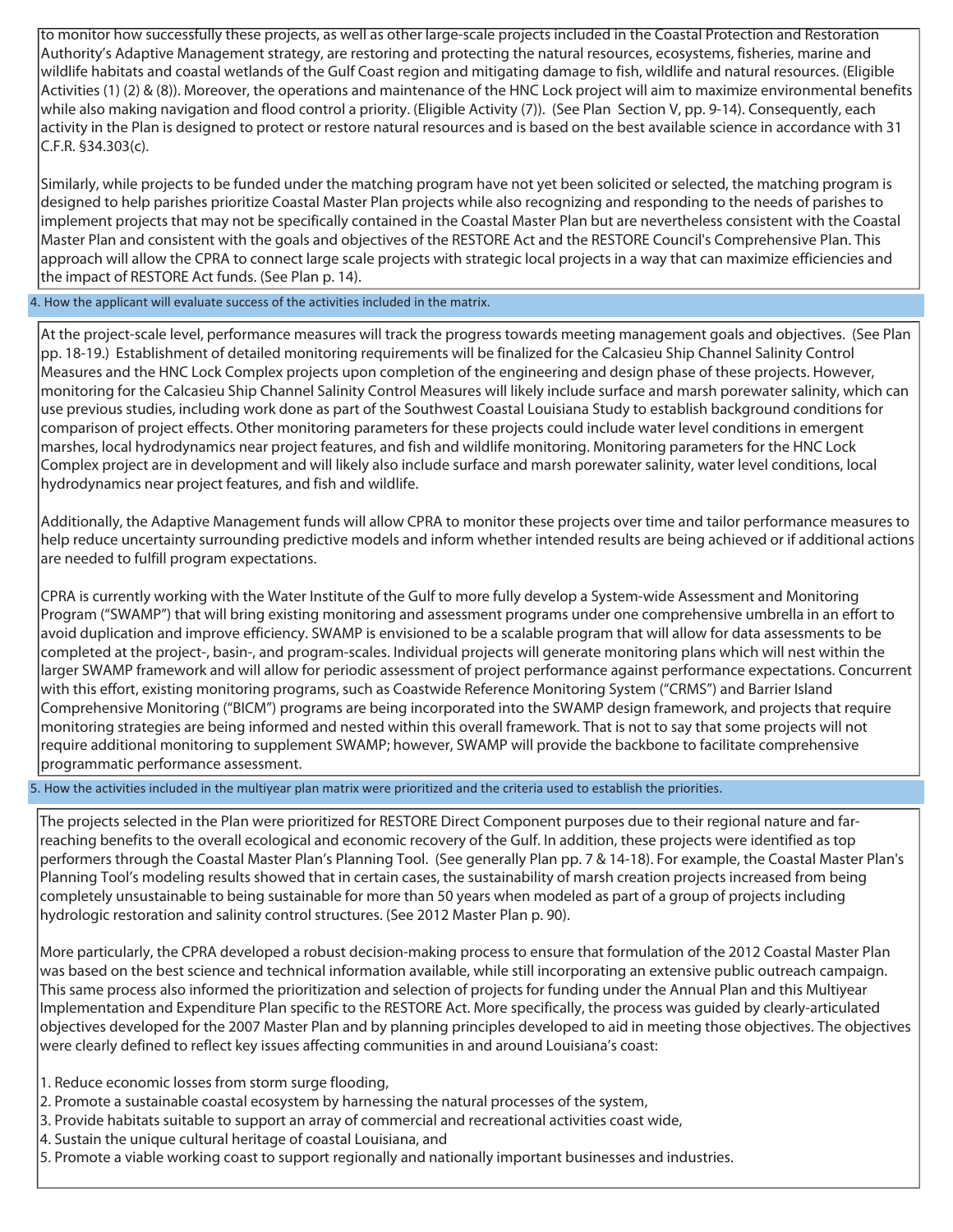to monitor how successfully these projects, as well as other large-scale projects included in the Coastal Protection and Restoration Authority's Adaptive Management strategy, are restoring and protecting the natural resources, ecosystems, fisheries, marine and wildlife habitats and coastal wetlands of the Gulf Coast region and mitigating damage to fish, wildlife and natural resources. (Eligible Activities (1) (2) & (8)). Moreover, the operations and maintenance of the HNC Lock project will aim to maximize environmental benefits while also making navigation and flood control a priority. (Eligible Activity (7)). (See Plan Section V, pp. 9-14). Consequently, each activity in the Plan is designed to protect or restore natural resources and is based on the best available science in accordance with 31 C.F.R. §34.303(c).

Similarly, while projects to be funded under the matching program have not yet been solicited or selected, the matching program is designed to help parishes prioritize Coastal Master Plan projects while also recognizing and responding to the needs of parishes to implement projects that may not be specifically contained in the Coastal Master Plan but are nevertheless consistent with the Coastal Master Plan and consistent with the goals and objectives of the RESTORE Act and the RESTORE Council's Comprehensive Plan. This approach will allow the CPRA to connect large scale projects with strategic local projects in a way that can maximize efficiencies and the impact of RESTORE Act funds. (See Plan p. 14).

4. How the applicant will evaluate success of the activities included in the matrix.

At the project-scale level, performance measures will track the progress towards meeting management goals and objectives. (See Plan pp. 18-19.) Establishment of detailed monitoring requirements will be finalized for the Calcasieu Ship Channel Salinity Control Measures and the HNC Lock Complex projects upon completion of the engineering and design phase of these projects. However, monitoring for the Calcasieu Ship Channel Salinity Control Measures will likely include surface and marsh porewater salinity, which can use previous studies, including work done as part of the Southwest Coastal Louisiana Study to establish background conditions for comparison of project effects. Other monitoring parameters for these projects could include water level conditions in emergent marshes, local hydrodynamics near project features, and fish and wildlife monitoring. Monitoring parameters for the HNC Lock Complex project are in development and will likely also include surface and marsh porewater salinity, water level conditions, local hydrodynamics near project features, and fish and wildlife.

Additionally, the Adaptive Management funds will allow CPRA to monitor these projects over time and tailor performance measures to help reduce uncertainty surrounding predictive models and inform whether intended results are being achieved or if additional actions are needed to fulfill program expectations.

CPRA is currently working with the Water Institute of the Gulf to more fully develop a System-wide Assessment and Monitoring Program ("SWAMP") that will bring existing monitoring and assessment programs under one comprehensive umbrella in an effort to avoid duplication and improve efficiency. SWAMP is envisioned to be a scalable program that will allow for data assessments to be completed at the project-, basin-, and program-scales. Individual projects will generate monitoring plans which will nest within the larger SWAMP framework and will allow for periodic assessment of project performance against performance expectations. Concurrent with this effort, existing monitoring programs, such as Coastwide Reference Monitoring System ("CRMS") and Barrier Island Comprehensive Monitoring ("BICM") programs are being incorporated into the SWAMP design framework, and projects that require monitoring strategies are being informed and nested within this overall framework. That is not to say that some projects will not require additional monitoring to supplement SWAMP; however, SWAMP will provide the backbone to facilitate comprehensive programmatic performance assessment.

5. How the activities included in the multiyear plan matrix were prioritized and the criteria used to establish the priorities.

The projects selected in the Plan were prioritized for RESTORE Direct Component purposes due to their regional nature and farreaching benefits to the overall ecological and economic recovery of the Gulf. In addition, these projects were identified as top performers through the Coastal Master Plan's Planning Tool. (See generally Plan pp. 7 & 14-18). For example, the Coastal Master Plan's Planning Tool's modeling results showed that in certain cases, the sustainability of marsh creation projects increased from being completely unsustainable to being sustainable for more than 50 years when modeled as part of a group of projects including hydrologic restoration and salinity control structures. (See 2012 Master Plan p. 90).

More particularly, the CPRA developed a robust decision-making process to ensure that formulation of the 2012 Coastal Master Plan was based on the best science and technical information available, while still incorporating an extensive public outreach campaign. This same process also informed the prioritization and selection of projects for funding under the Annual Plan and this Multiyear Implementation and Expenditure Plan specific to the RESTORE Act. More specifically, the process was guided by clearly-articulated objectives developed for the 2007 Master Plan and by planning principles developed to aid in meeting those objectives. The objectives were clearly defined to reflect key issues affecting communities in and around Louisiana's coast:

- 1. Reduce economic losses from storm surge flooding,
- 2. Promote a sustainable coastal ecosystem by harnessing the natural processes of the system,
- 3. Provide habitats suitable to support an array of commercial and recreational activities coast wide,
- 4. Sustain the unique cultural heritage of coastal Louisiana, and
- 5. Promote a viable working coast to support regionally and nationally important businesses and industries.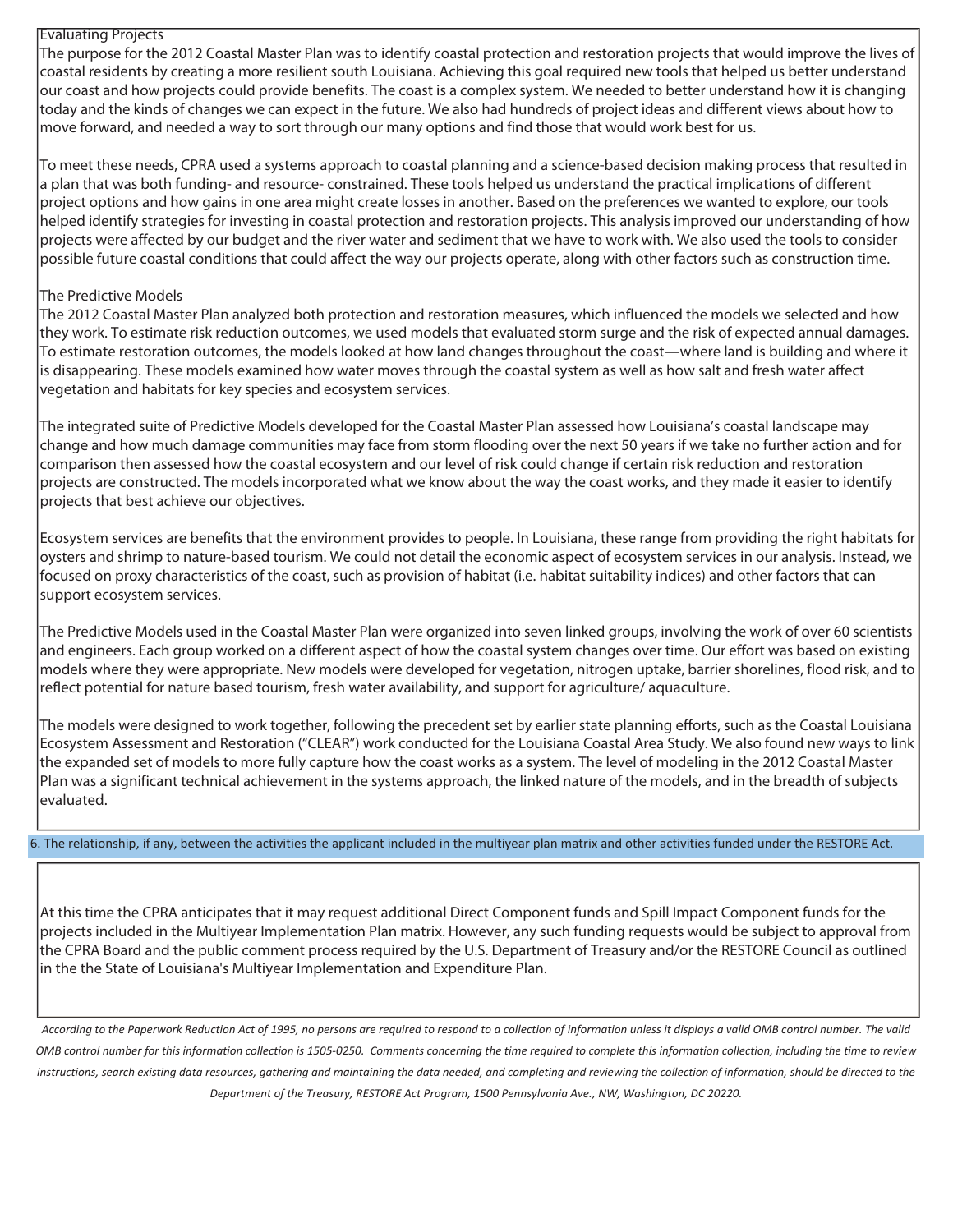### Evaluating Projects

The purpose for the 2012 Coastal Master Plan was to identify coastal protection and restoration projects that would improve the lives of coastal residents by creating a more resilient south Louisiana. Achieving this goal required new tools that helped us better understand our coast and how projects could provide benefits. The coast is a complex system. We needed to better understand how it is changing today and the kinds of changes we can expect in the future. We also had hundreds of project ideas and different views about how to move forward, and needed a way to sort through our many options and find those that would work best for us.

To meet these needs, CPRA used a systems approach to coastal planning and a science-based decision making process that resulted in a plan that was both funding- and resource- constrained. These tools helped us understand the practical implications of different project options and how gains in one area might create losses in another. Based on the preferences we wanted to explore, our tools helped identify strategies for investing in coastal protection and restoration projects. This analysis improved our understanding of how projects were affected by our budget and the river water and sediment that we have to work with. We also used the tools to consider possible future coastal conditions that could affect the way our projects operate, along with other factors such as construction time.

#### The Predictive Models

The 2012 Coastal Master Plan analyzed both protection and restoration measures, which influenced the models we selected and how they work. To estimate risk reduction outcomes, we used models that evaluated storm surge and the risk of expected annual damages. To estimate restoration outcomes, the models looked at how land changes throughout the coast—where land is building and where it is disappearing. These models examined how water moves through the coastal system as well as how salt and fresh water affect vegetation and habitats for key species and ecosystem services.

The integrated suite of Predictive Models developed for the Coastal Master Plan assessed how Louisiana's coastal landscape may change and how much damage communities may face from storm flooding over the next 50 years if we take no further action and for comparison then assessed how the coastal ecosystem and our level of risk could change if certain risk reduction and restoration projects are constructed. The models incorporated what we know about the way the coast works, and they made it easier to identify projects that best achieve our objectives.

Ecosystem services are benefits that the environment provides to people. In Louisiana, these range from providing the right habitats for oysters and shrimp to nature-based tourism. We could not detail the economic aspect of ecosystem services in our analysis. Instead, we focused on proxy characteristics of the coast, such as provision of habitat (i.e. habitat suitability indices) and other factors that can support ecosystem services.

The Predictive Models used in the Coastal Master Plan were organized into seven linked groups, involving the work of over 60 scientists and engineers. Each group worked on a different aspect of how the coastal system changes over time. Our effort was based on existing models where they were appropriate. New models were developed for vegetation, nitrogen uptake, barrier shorelines, flood risk, and to reflect potential for nature based tourism, fresh water availability, and support for agriculture/ aquaculture.

The models were designed to work together, following the precedent set by earlier state planning efforts, such as the Coastal Louisiana Ecosystem Assessment and Restoration ("CLEAR") work conducted for the Louisiana Coastal Area Study. We also found new ways to link the expanded set of models to more fully capture how the coast works as a system. The level of modeling in the 2012 Coastal Master Plan was a significant technical achievement in the systems approach, the linked nature of the models, and in the breadth of subjects evaluated.

6. The relationship, if any, between the activities the applicant included in the multiyear plan matrix and other activities funded under the RESTORE Act.

At this time the CPRA anticipates that it may request additional Direct Component funds and Spill Impact Component funds for the projects included in the Multiyear Implementation Plan matrix. However, any such funding requests would be subject to approval from the CPRA Board and the public comment process required by the U.S. Department of Treasury and/or the RESTORE Council as outlined in the the State of Louisiana's Multiyear Implementation and Expenditure Plan.

*According to the Paperwork Reduction Act of 1995, no persons are required to respond to a collection of information unless it displays a valid OMB control number. The valid OMB control number for this information collection is 1505-0250. Comments concerning the time required to complete this information collection, including the time to review instructions, search existing data resources, gathering and maintaining the data needed, and completing and reviewing the collection of information, should be directed to the Department of the Treasury, RESTORE Act Program, 1500 Pennsylvania Ave., NW, Washington, DC 20220.*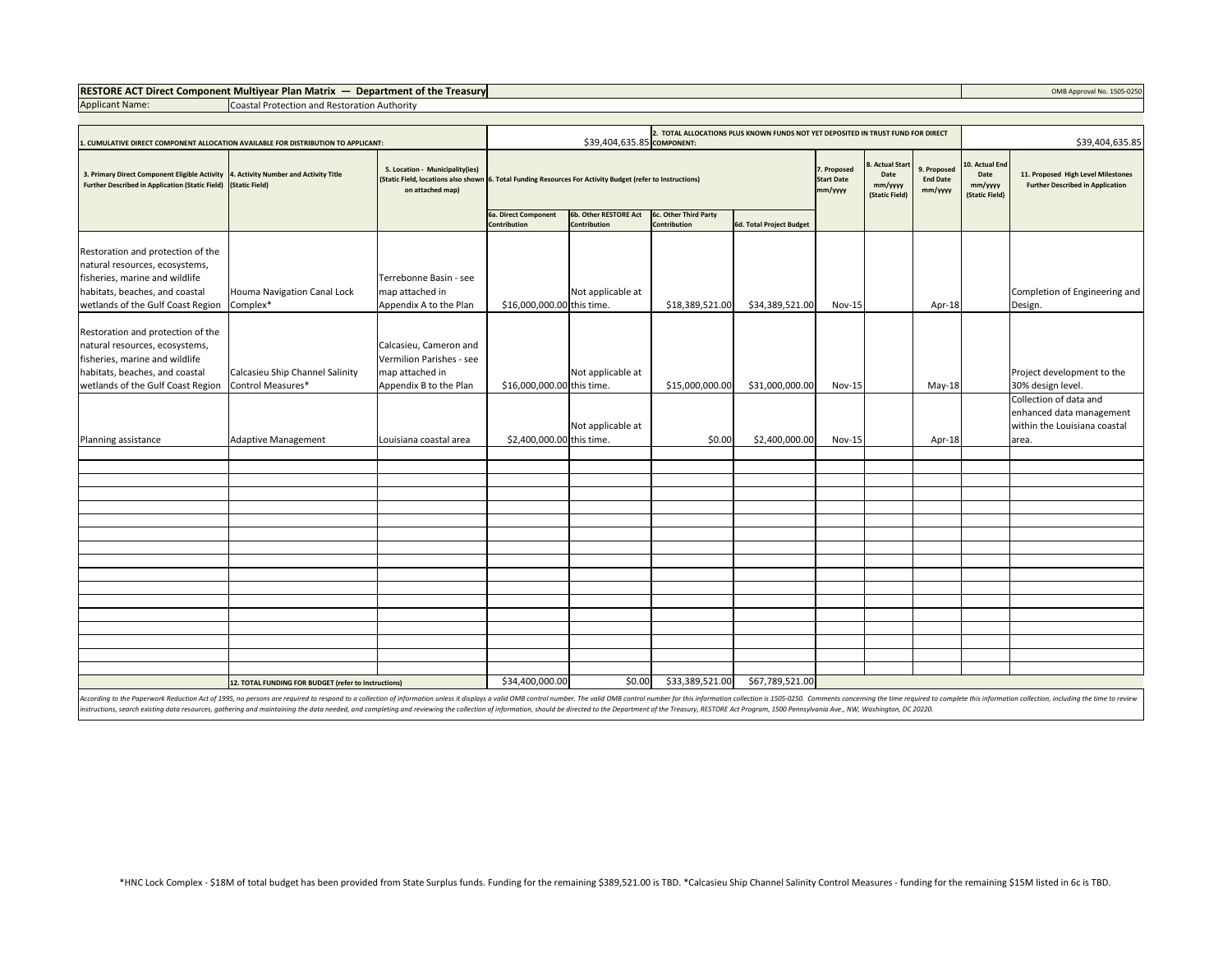# **RESTORE ACT Direct Component Multiyear Plan Matrix — Department of the Treasury COMB Approval No. 1505-0250** OMB Approval No. 1505-0250

Applicant Name: Coastal Protection and Restoration Authority

| 1. CUMULATIVE DIRECT COMPONENT ALLOCATION AVAILABLE FOR DISTRIBUTION TO APPLICANT:                                                                                           | 2. TOTAL ALLOCATIONS PLUS KNOWN FUNDS NOT YET DEPOSITED IN TRUST FUND FOR DIRECT<br>\$39,404,635.85 COMPONENT: |                                                                                                 |                                                                                                            |                                              |                                              |                                             |                                                      | \$39,404,635.85                           |                                                     |                                                                               |                                                                                             |
|------------------------------------------------------------------------------------------------------------------------------------------------------------------------------|----------------------------------------------------------------------------------------------------------------|-------------------------------------------------------------------------------------------------|------------------------------------------------------------------------------------------------------------|----------------------------------------------|----------------------------------------------|---------------------------------------------|------------------------------------------------------|-------------------------------------------|-----------------------------------------------------|-------------------------------------------------------------------------------|---------------------------------------------------------------------------------------------|
| 3. Primary Direct Component Eligible Activity 4. Activity Number and Activity Title<br>Further Described in Application (Static Field) (Static Field)                        |                                                                                                                | 5. Location - Municipality(ies)<br>on attached map)                                             | (Static Field, locations also shown 6. Total Funding Resources For Activity Budget (refer to Instructions) |                                              |                                              | 7. Proposed<br><b>Start Date</b><br>mm/yyyy | 8. Actual Start<br>Date<br>mm/yyyy<br>(Static Field) | 9. Proposed<br><b>End Date</b><br>mm/yyyy | 10. Actual End<br>Date<br>mm/yyyy<br>(Static Field) | 11. Proposed High Level Milestones<br><b>Further Described in Application</b> |                                                                                             |
|                                                                                                                                                                              |                                                                                                                |                                                                                                 | 6a. Direct Component<br><b>Contribution</b>                                                                | 6b. Other RESTORE Act<br><b>Contribution</b> | 6c. Other Third Party<br><b>Contribution</b> | 6d. Total Project Budget                    |                                                      |                                           |                                                     |                                                                               |                                                                                             |
| Restoration and protection of the<br>natural resources, ecosystems,<br>fisheries, marine and wildlife<br>habitats, beaches, and coastal<br>wetlands of the Gulf Coast Region | Houma Navigation Canal Lock<br>Complex*                                                                        | Terrebonne Basin - see<br>map attached in<br>Appendix A to the Plan                             | \$16,000,000.00 this time.                                                                                 | Not applicable at                            | \$18,389,521.00                              | \$34,389,521.00                             | <b>Nov-15</b>                                        |                                           | Apr-18                                              |                                                                               | Completion of Engineering and<br>Design.                                                    |
| Restoration and protection of the<br>natural resources, ecosystems,<br>fisheries, marine and wildlife<br>habitats, beaches, and coastal<br>wetlands of the Gulf Coast Region | Calcasieu Ship Channel Salinity<br>Control Measures*                                                           | Calcasieu, Cameron and<br>Vermilion Parishes - see<br>map attached in<br>Appendix B to the Plan | \$16,000,000.00 this time.                                                                                 | Not applicable at                            | \$15,000,000.00                              | \$31,000,000.00                             | <b>Nov-15</b>                                        |                                           | $May-18$                                            |                                                                               | Project development to the<br>30% design level.                                             |
| Planning assistance                                                                                                                                                          | Adaptive Management                                                                                            | Louisiana coastal area                                                                          | \$2,400,000.00 this time.                                                                                  | Not applicable at                            | \$0.00                                       | \$2,400,000.00                              | <b>Nov-15</b>                                        |                                           | Apr-18                                              |                                                                               | Collection of data and<br>enhanced data management<br>within the Louisiana coastal<br>area. |
|                                                                                                                                                                              |                                                                                                                |                                                                                                 |                                                                                                            |                                              |                                              |                                             |                                                      |                                           |                                                     |                                                                               |                                                                                             |
|                                                                                                                                                                              |                                                                                                                |                                                                                                 |                                                                                                            |                                              |                                              |                                             |                                                      |                                           |                                                     |                                                                               |                                                                                             |
|                                                                                                                                                                              |                                                                                                                |                                                                                                 |                                                                                                            |                                              |                                              |                                             |                                                      |                                           |                                                     |                                                                               |                                                                                             |
|                                                                                                                                                                              |                                                                                                                |                                                                                                 |                                                                                                            |                                              |                                              |                                             |                                                      |                                           |                                                     |                                                                               |                                                                                             |
|                                                                                                                                                                              |                                                                                                                |                                                                                                 |                                                                                                            |                                              |                                              |                                             |                                                      |                                           |                                                     |                                                                               |                                                                                             |
|                                                                                                                                                                              |                                                                                                                |                                                                                                 |                                                                                                            |                                              |                                              |                                             |                                                      |                                           |                                                     |                                                                               |                                                                                             |
|                                                                                                                                                                              |                                                                                                                |                                                                                                 |                                                                                                            |                                              |                                              |                                             |                                                      |                                           |                                                     |                                                                               |                                                                                             |
|                                                                                                                                                                              |                                                                                                                |                                                                                                 |                                                                                                            |                                              |                                              |                                             |                                                      |                                           |                                                     |                                                                               |                                                                                             |
|                                                                                                                                                                              |                                                                                                                |                                                                                                 |                                                                                                            |                                              |                                              |                                             |                                                      |                                           |                                                     |                                                                               |                                                                                             |
|                                                                                                                                                                              |                                                                                                                |                                                                                                 |                                                                                                            |                                              |                                              |                                             |                                                      |                                           |                                                     |                                                                               |                                                                                             |
|                                                                                                                                                                              |                                                                                                                |                                                                                                 |                                                                                                            |                                              |                                              |                                             |                                                      |                                           |                                                     |                                                                               |                                                                                             |
|                                                                                                                                                                              |                                                                                                                |                                                                                                 |                                                                                                            |                                              |                                              |                                             |                                                      |                                           |                                                     |                                                                               |                                                                                             |
| 12. TOTAL FUNDING FOR BUDGET (refer to Instructions)                                                                                                                         |                                                                                                                |                                                                                                 | \$34,400,000.00                                                                                            | \$0.00                                       | \$33,389,521.00                              | \$67,789,521.00                             |                                                      |                                           |                                                     |                                                                               |                                                                                             |

According to the Paperwork Reduction Act of 1995, no persons are required to respond to a collection of information unless it displays a valid OMB control number. The valid OMB control number for this information collectio nstructions, search existing data resources, gathering and maintaining the data needed, and completing and reviewing the collection of information, should be directed to the Department of the Treasury, RESTORE Act Program,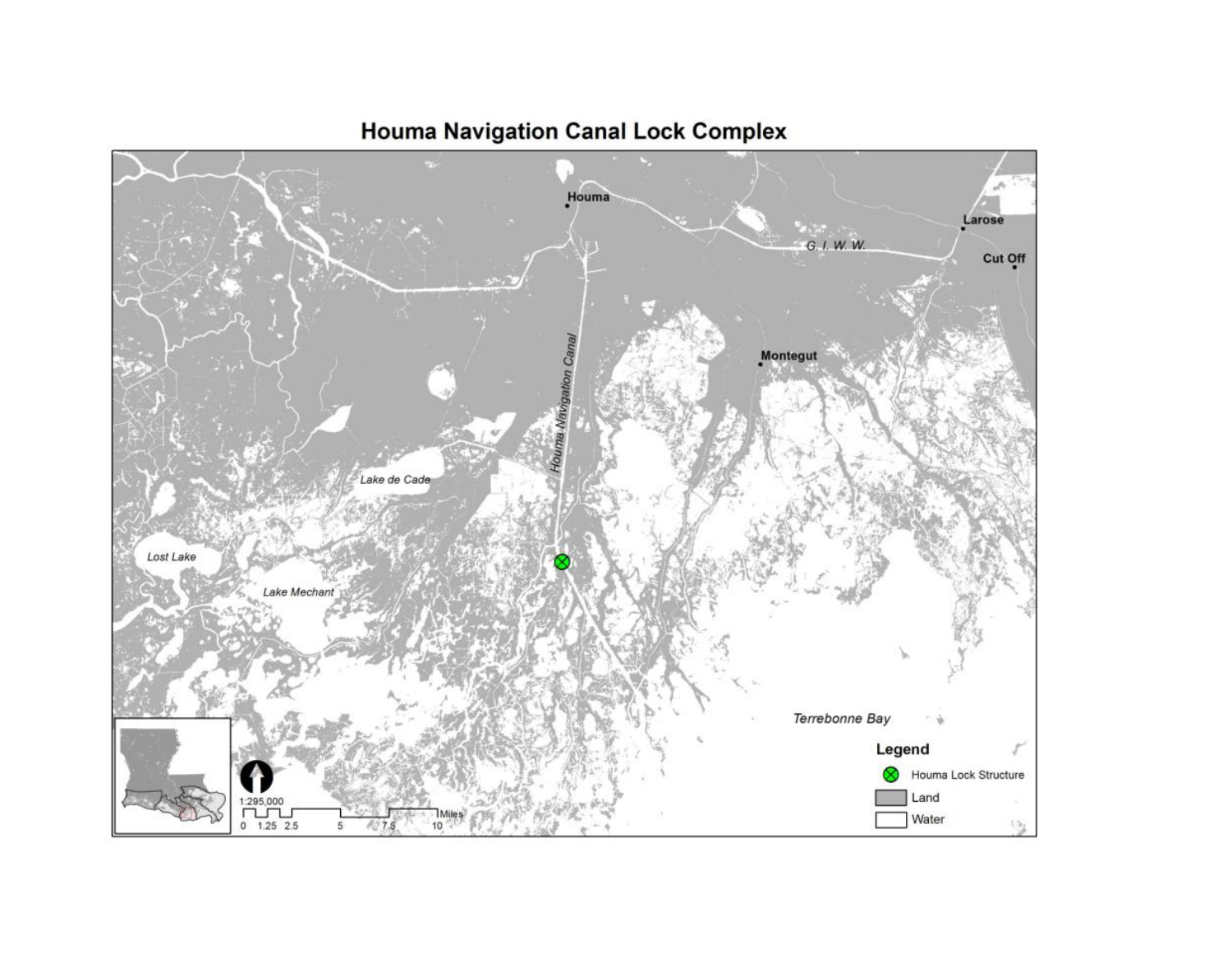

# **Houma Navigation Canal Lock Complex**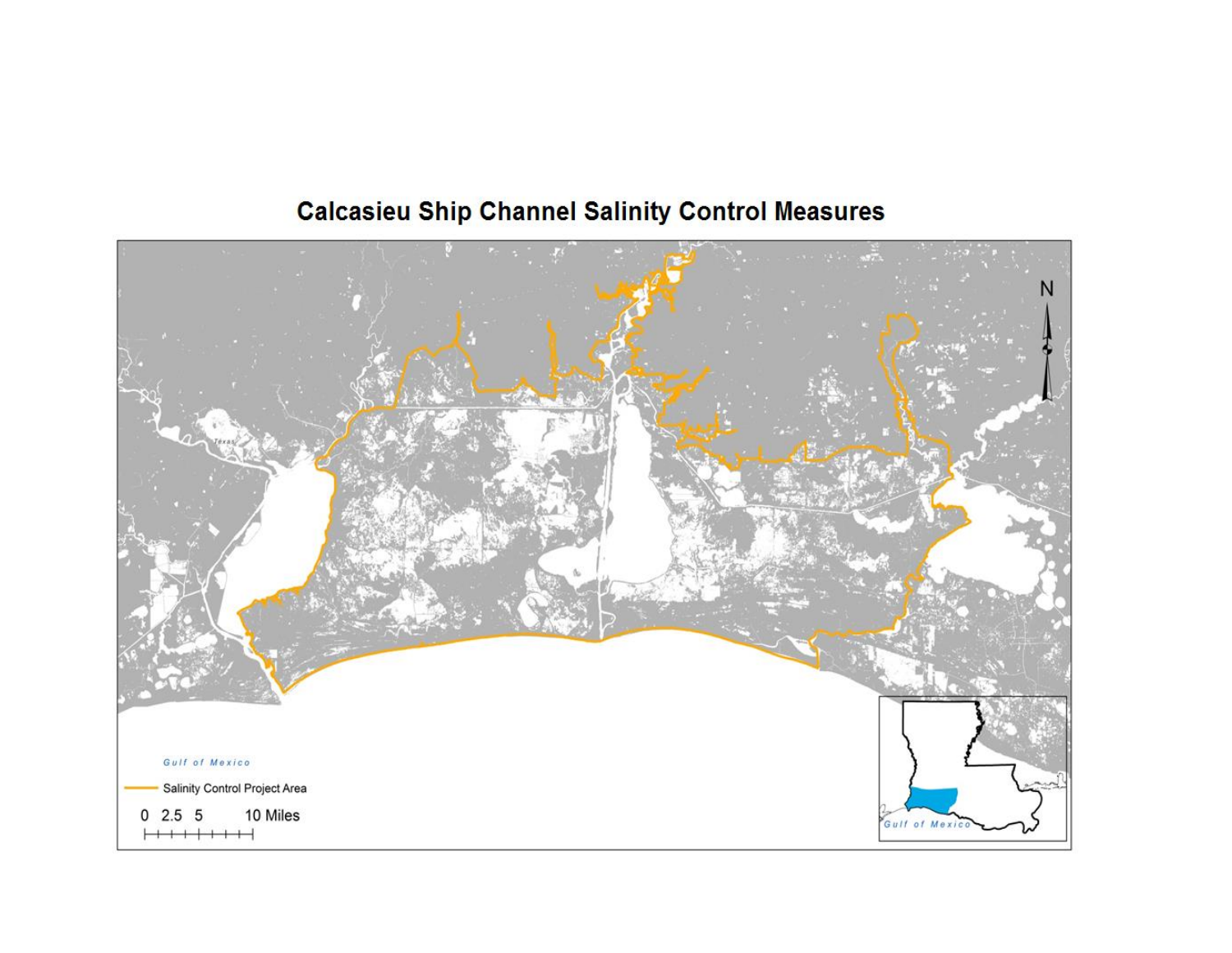# N Gulf of Mexico Salinity Control Project Area  $0$  2.5 5 10 Miles Gulf of Mexi

# **Calcasieu Ship Channel Salinity Control Measures**